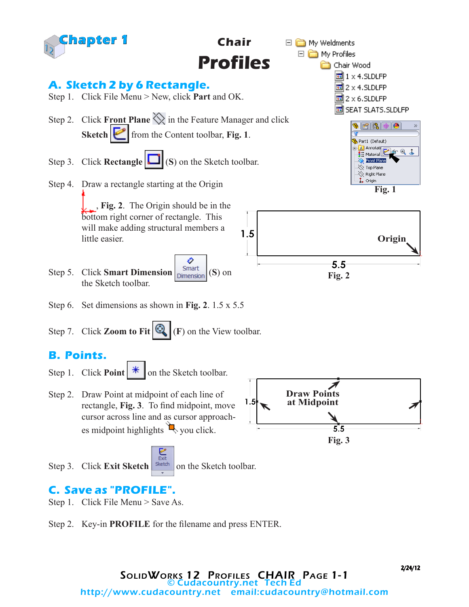

Step 2. Key-in **PROFILE** for the filename and press ENTER.

2/24/12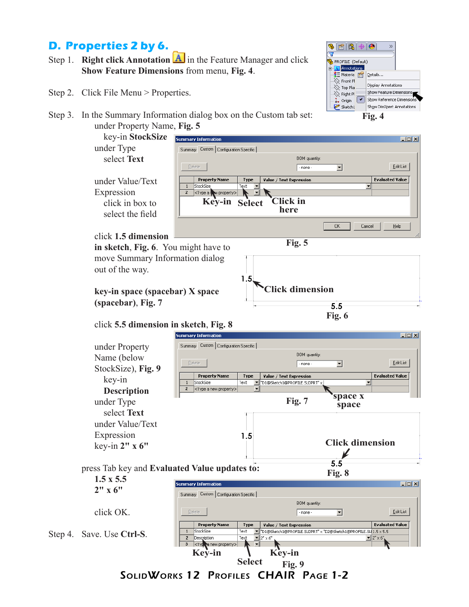## **D. Properties 2 by 6.**

- Step 1. **Right click Annotation**  $\mathbf{A}$  in the Feature Manager and click **Show Feature Dimensions** from menu, **Fig. 4**.
- Step 2. Click File Menu > Properties.
- Step 3. In the Summary Information dialog box on the Custom tab set: under Property Name, **Fig. 5**



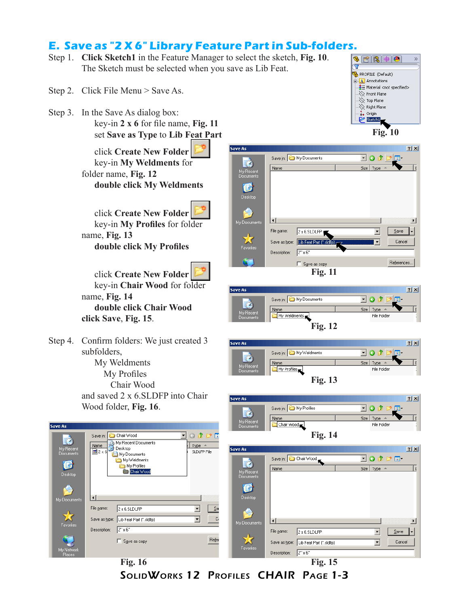# **E. Save as "2 X 6" Library Feature Part in Sub-folders.**

- Step 1. **Click Sketch1** in the Feature Manager to select the sketch, **Fig. 10**. The Sketch must be selected when you save as Lib Feat.
- Step 2. Click File Menu > Save As.
- Step 3. In the Save As dialog box:

key-in **2 x 6** for file name, **Fig. 11** set **Save as Type** to **Lib Feat Part**

click **Create New Folder**  key-in **My Weldments** for folder name, **Fig. 12 double click My Weldments**

click **Create New Folder**  key-in **My Profiles** for folder name, **Fig. 13 double click My Profiles**

click **Create New Folder**  key-in **Chair Wood** for folder name, **Fig. 14 double click Chair Wood click Save**, **Fig. 15**.

Step 4. Confirm folders: We just created 3 subfolders, My Weldments My Profiles Chair Wood and saved 2 x 6.SLDFP into Chair Wood folder, **Fig. 16**.

Save As















| $\bullet$                     | Chair Wood<br>$\mathbf{r}$<br>Save in:                                                                   | 000                                        | <b>Fig. 14</b>                 |                                        |                                     |  |
|-------------------------------|----------------------------------------------------------------------------------------------------------|--------------------------------------------|--------------------------------|----------------------------------------|-------------------------------------|--|
| My Recent<br><b>Documents</b> | My Recent Documents<br>$\frac{\textbf{Name}}{\boxed{53}} 2 \times 6$<br><b>B</b> Desktop<br>My Documents | Type $\triangleq$<br>SLDLFP File           | Save As                        |                                        | 2 X                                 |  |
|                               | My Weldments                                                                                             |                                            | $\bullet$                      | Save in: C Chair Wood                  | 「〇ゆび皿」                              |  |
| C<br>Desktop                  | My Profiles<br>Chair Wood                                                                                |                                            | My Recent,<br><b>Documents</b> | Name                                   | Size Type $\triangle$               |  |
|                               |                                                                                                          |                                            | $\mathbf{C}$                   |                                        |                                     |  |
|                               | $\vert \cdot \vert$                                                                                      |                                            | Desktop                        |                                        |                                     |  |
| My Documents                  | File name:<br>2 x 6.SLDLFP                                                                               | $\mathbf{S}$ a<br>$\overline{\phantom{a}}$ |                                |                                        |                                     |  |
| ╈                             |                                                                                                          | Ca                                         | 2                              |                                        |                                     |  |
| Favorites                     | Save as type: Lib Feat Part [".sldlfp]                                                                   | $\vert \textbf{v} \vert$                   | My Documents                   | $\vert \cdot \vert$                    | $\blacktriangleright$               |  |
|                               | $2" \times 6"$<br>Description:                                                                           |                                            |                                | File name:<br>2 x 6.SLDLFP             | $S$ ave<br>$\overline{\phantom{a}}$ |  |
| <b>AV</b>                     | Save as copy                                                                                             | Refer                                      | $\star$                        | Save as type: Lib Feat Part (".sldlfp) | Cancel<br>$\vert \cdot \vert$       |  |
| My Network<br><b>Places</b>   |                                                                                                          |                                            | Favorites                      | 2" x 6"<br>Description:                |                                     |  |
|                               | <b>Fig. 16</b>                                                                                           |                                            |                                | <b>Fig. 15</b>                         |                                     |  |

SolidWorks 12 Profiles CHAIR Page 1-3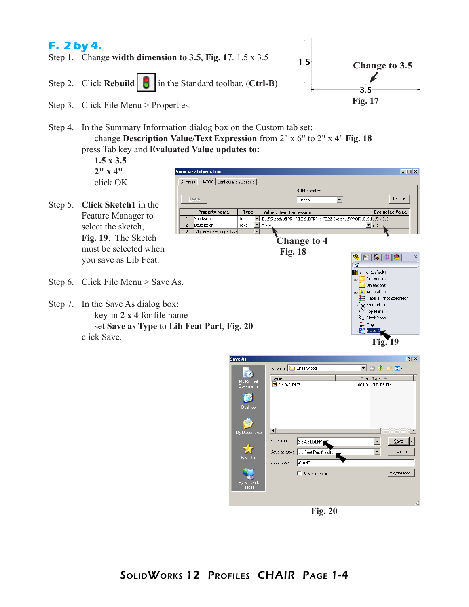

Step 4. In the Summary Information dialog box on the Custom tab set: change **Description Value/Text Expression** from 2" x 6" to 2" x **4**" **Fig. 18** press Tab key and **Evaluated Value updates to:**

| $1.5 \times 3.5$                                                                                                                     |                                            |                                                      |             |                                                                |                                                                                                                 |  |  |  |
|--------------------------------------------------------------------------------------------------------------------------------------|--------------------------------------------|------------------------------------------------------|-------------|----------------------------------------------------------------|-----------------------------------------------------------------------------------------------------------------|--|--|--|
| $2'' \times 4''$                                                                                                                     |                                            | <b>Summary Information</b>                           |             |                                                                | $\Box$ D $\Box$                                                                                                 |  |  |  |
| click OK.                                                                                                                            |                                            | Summary Custom   Configuration Specific              |             |                                                                |                                                                                                                 |  |  |  |
| Step 5. Click Sketch1 in the                                                                                                         | BOM quantity:<br><b>Delete</b><br>- none - |                                                      |             |                                                                | Edit List                                                                                                       |  |  |  |
|                                                                                                                                      |                                            | <b>Property Name</b>                                 | <b>Type</b> | Value / Text Expression                                        | <b>Evaluated Value</b>                                                                                          |  |  |  |
| Feature Manager to                                                                                                                   |                                            | StockSize                                            | Text        | "D1@Sketch1@PROFILE.SLDPRT" x "D2@Sketch1@PROFILE.SL 1.5 x 3.5 |                                                                                                                 |  |  |  |
| select the sketch,                                                                                                                   | $\overline{2}$<br>3                        | Description<br><type a="" new="" property=""></type> | Text        | $\mathbf{I}$ = 2" $\times$ 4".                                 | $\mathbf{I}$ 2" $\times$ 4"                                                                                     |  |  |  |
| Fig. 19. The Sketch<br>must be selected when<br>you save as Lib Feat.                                                                |                                            |                                                      |             | <b>Change to 4</b><br><b>Fig. 18</b>                           | $\left \mathbf{B}\right \mathbf{B}\right $ $\Phi$<br>$\bullet$<br>s<br>₩<br>$\lim$ 2 x 6 (Default)              |  |  |  |
| Step 6. Click File Menu $>$ Save As.                                                                                                 |                                            |                                                      |             |                                                                | References<br>中<br><b>Dimensions</b><br><b>A</b> Annotations<br>$\frac{3}{2}$ Material <not specified=""></not> |  |  |  |
| Step 7. In the Save As dialog box:<br>key-in $2 \times 4$ for file name<br>set Save as Type to Lib Feat Part, Fig. 20<br>click Save. |                                            |                                                      |             |                                                                | $\gg$ Front Plane<br>$\gg$ Top Plane<br>$\bigotimes$ Right Plane<br>$\mathbf{L}$ Origin<br>Sketch1<br>Fig.      |  |  |  |

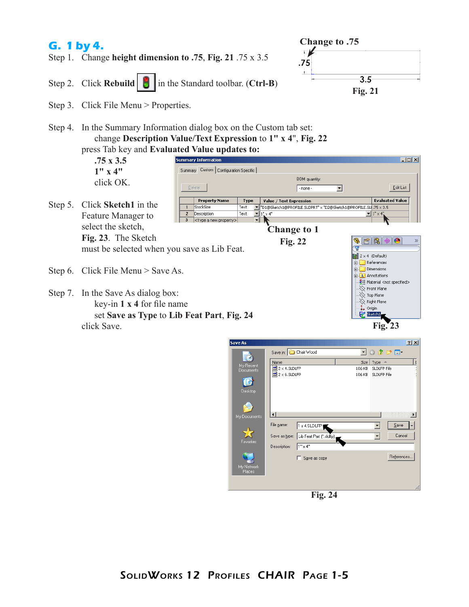### **G. 1 by 4.**

- Step 1. Change **height dimension to .75**, **Fig. 21** .75 x 3.5
- Step 2. Click **Rebuild in** the Standard toolbar. (**Ctrl-B**)



- Step 3. Click File Menu > Properties.
- Step 4. In the Summary Information dialog box on the Custom tab set: change **Description Value/Text Expression** to **1" x 4**", **Fig. 22** press Tab key and **Evaluated Value updates to:**





**Fig. 24**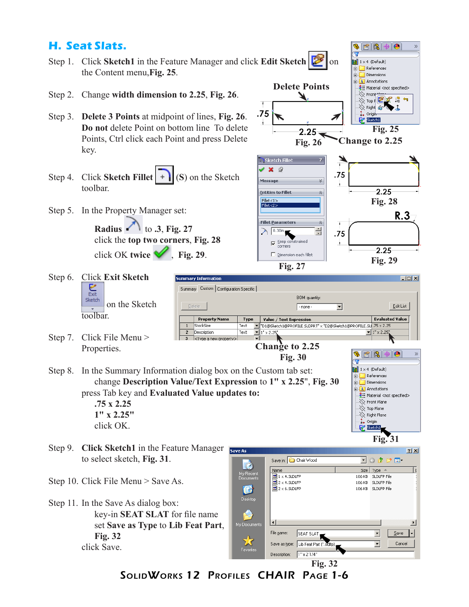#### **H. Seat Slats.**

- Step 1. Click **Sketch1** in the Feature Manager and click **Edit Sketch 8** on the Content menu,**Fig. 25**.
- Step 2. Change **width dimension to 2.25**, **Fig. 26**.
- Step 3. **Delete 3 Points** at midpoint of lines, **Fig. 26**. **Do not** delete Point on bottom line To delete Points, Ctrl click each Point and press Delete key.
- Step 4. Click **Sketch Fillet**  $\vert \cdot \vert$  (S) on the Sketch toolbar.
- Step 5. In the Property Manager set:

**Radius**  $\bigcap$  to **.3**, Fig. 27 click the **top two corners**, **Fig. 28** click OK **twice**  $\mathcal{C}$ , **Fig. 29**.

ummary Information



 $\bullet$ 

 $\mathbf{H}$  1 x 4 (Default)

- Step 6. Click **Exit Sketch** Sketch on the Sketch toolbar.
- Step 7. Click File Menu > Properties.
- Summary Custom | Configuration Specific | **BOM** quantity  $\sqrt{ }$  none  $\overline{\mathbf{r}}$ Edit List **Property Name** Type Value / Text Expression **Evaluated Value** StockSize TO1@Sketch1@PROFILE.SLDPRT" x "D2@Sketch1@PROFILE.SL 75 x 2.25  ${\sf Text}$  $\overline{2}$ Description  $Text$  $\overline{\mathbf{v}}$  1"  $\times$  2.25  $\blacktriangledown$  1"  $\times$  2.2 <Type a new property> **Change to 2.25** \$16440 **Fig. 30**  $\overline{\mathbf{v}}$ Step 8. In the Summary Information dialog box on the Custom tab set:  $\left\| \mathbf{H} \right\|$  1 x 4 (Default)  $\Box$  References change **Description Value/Text Expression** to **1" x 2.25**", **Fig. 30** Dimensions  $\Box$  Annotations press Tab key and **Evaluated Value updates to:**  $\frac{1}{3}$  Material <not specified>

**.75 x 2.25 1" x 2.25"**  click OK.

- Step 9. Click Sketch1 in the Feature Manager to select sketch, **Fig. 31**.
- Step 10. Click File Menu > Save As.
- Step 11. In the Save As dialog box: key-in **SEAT SLAT** for file name set **Save as Type** to **Lib Feat Part**, **Fig. 32** click Save.

 $2X$ Save in: Chair Wood  $\overline{\mathbb{E}}\circ\mathbb{P}\mathbb{P}$  .  $\dot{c}$ Name Size Type  $\triangle$ I۱ My Recent<br>Documents  $\boxed{5}$  1 x 4.5LDLFP 106 KB SLDLFP File  $\overline{5}$  2 x 4.5LDLFP 106 KB SLDLFP File C 106 KB SLDLEP File Desktop ਮਰ  $\blacktriangleright$ My Docu File name:  $\left| . \right|$ SEAT SLAT  $\vert \cdot \vert$  $S$ ave Cancel Save as type: Lib Feat Part (".sidlfp) ⊡ Description: 1" x 2 1/4"

**Fig. 31**

 $\langle\!\!\!\langle\rangle\!\!\!\rangle$  Front Plane  $\gg$  Top Plane  $\gg$  Right Plane . torigin Sketch1

 $L = x$ 

 $\gg$ 

**Fig. 32**

SolidWorks 12 Profiles CHAIR Page 1-6